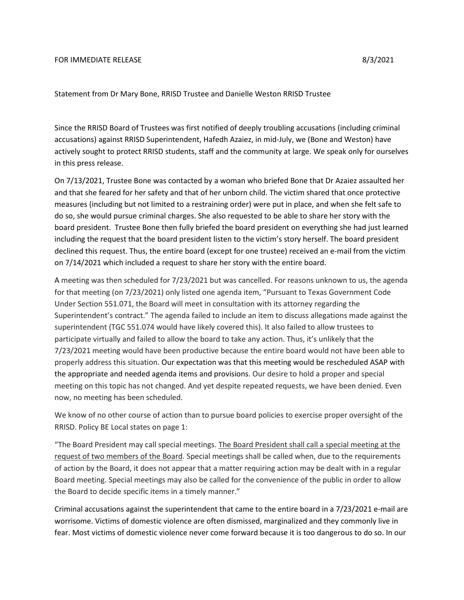## FOR IMMEDIATE RELEASE 8/3/2021

Statement from Dr Mary Bone, RRISD Trustee and Danielle Weston RRISD Trustee

Since the RRISD Board of Trustees was first notified of deeply troubling accusations (including criminal accusations) against RRISD Superintendent, Hafedh Azaiez, in mid-July, we (Bone and Weston) have actively sought to protect RRISD students, staff and the community at large. We speak only for ourselves in this press release.

On 7/13/2021, Trustee Bone was contacted by a woman who briefed Bone that Dr Azaiez assaulted her and that she feared for her safety and that of her unborn child. The victim shared that once protective measures (including but not limited to a restraining order) were put in place, and when she felt safe to do so, she would pursue criminal charges. She also requested to be able to share her story with the board president. Trustee Bone then fully briefed the board president on everything she had just learned including the request that the board president listen to the victim's story herself. The board president declined this request. Thus, the entire board (except for one trustee) received an e-mail from the victim on 7/14/2021 which included a request to share her story with the entire board.

A meeting was then scheduled for 7/23/2021 but was cancelled. For reasons unknown to us, the agenda for that meeting (on 7/23/2021) only listed one agenda item, "Pursuant to Texas Government Code Under Section 551.071, the Board will meet in consultation with its attorney regarding the Superintendent's contract." The agenda failed to include an item to discuss allegations made against the superintendent (TGC 551.074 would have likely covered this). It also failed to allow trustees to participate virtually and failed to allow the board to take any action. Thus, it's unlikely that the 7/23/2021 meeting would have been productive because the entire board would not have been able to properly address this situation. Our expectation was that this meeting would be rescheduled ASAP with the appropriate and needed agenda items and provisions. Our desire to hold a proper and special meeting on this topic has not changed. And yet despite repeated requests, we have been denied. Even now, no meeting has been scheduled.

We know of no other course of action than to pursue board policies to exercise proper oversight of the RRISD. Policy BE Local states on page 1:

"The Board President may call special meetings. The Board President shall call a special meeting at the request of two members of the Board. Special meetings shall be called when, due to the requirements of action by the Board, it does not appear that a matter requiring action may be dealt with in a regular Board meeting. Special meetings may also be called for the convenience of the public in order to allow the Board to decide specific items in a timely manner."

Criminal accusations against the superintendent that came to the entire board in a 7/23/2021 e-mail are worrisome. Victims of domestic violence are often dismissed, marginalized and they commonly live in fear. Most victims of domestic violence never come forward because it is too dangerous to do so. In our